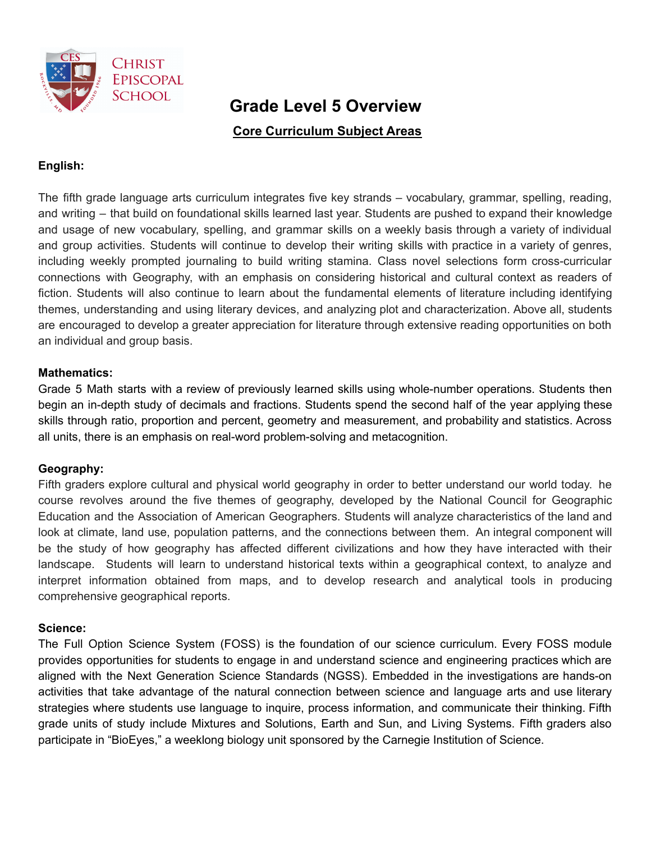

# **Grade Level 5 Overview**

**Core Curriculum Subject Areas**

# **English:**

The fifth grade language arts curriculum integrates five key strands – vocabulary, grammar, spelling, reading, and writing – that build on foundational skills learned last year. Students are pushed to expand their knowledge and usage of new vocabulary, spelling, and grammar skills on a weekly basis through a variety of individual and group activities. Students will continue to develop their writing skills with practice in a variety of genres, including weekly prompted journaling to build writing stamina. Class novel selections form cross-curricular connections with Geography, with an emphasis on considering historical and cultural context as readers of fiction. Students will also continue to learn about the fundamental elements of literature including identifying themes, understanding and using literary devices, and analyzing plot and characterization. Above all, students are encouraged to develop a greater appreciation for literature through extensive reading opportunities on both an individual and group basis.

## **Mathematics:**

Grade 5 Math starts with a review of previously learned skills using whole-number operations. Students then begin an in-depth study of decimals and fractions. Students spend the second half of the year applying these skills through ratio, proportion and percent, geometry and measurement, and probability and statistics. Across all units, there is an emphasis on real-word problem-solving and metacognition.

## **Geography:**

Fifth graders explore cultural and physical world geography in order to better understand our world today. he course revolves around the five themes of geography, developed by the National Council for Geographic Education and the Association of American Geographers. Students will analyze characteristics of the land and look at climate, land use, population patterns, and the connections between them. An integral component will be the study of how geography has affected different civilizations and how they have interacted with their landscape. Students will learn to understand historical texts within a geographical context, to analyze and interpret information obtained from maps, and to develop research and analytical tools in producing comprehensive geographical reports.

## **Science:**

The Full Option Science System (FOSS) is the foundation of our science curriculum. Every FOSS module provides opportunities for students to engage in and understand science and engineering practices which are aligned with the Next Generation Science Standards (NGSS). Embedded in the investigations are hands-on activities that take advantage of the natural connection between science and language arts and use literary strategies where students use language to inquire, process information, and communicate their thinking. Fifth grade units of study include Mixtures and Solutions, Earth and Sun, and Living Systems. Fifth graders also participate in "BioEyes," a weeklong biology unit sponsored by the Carnegie Institution of Science.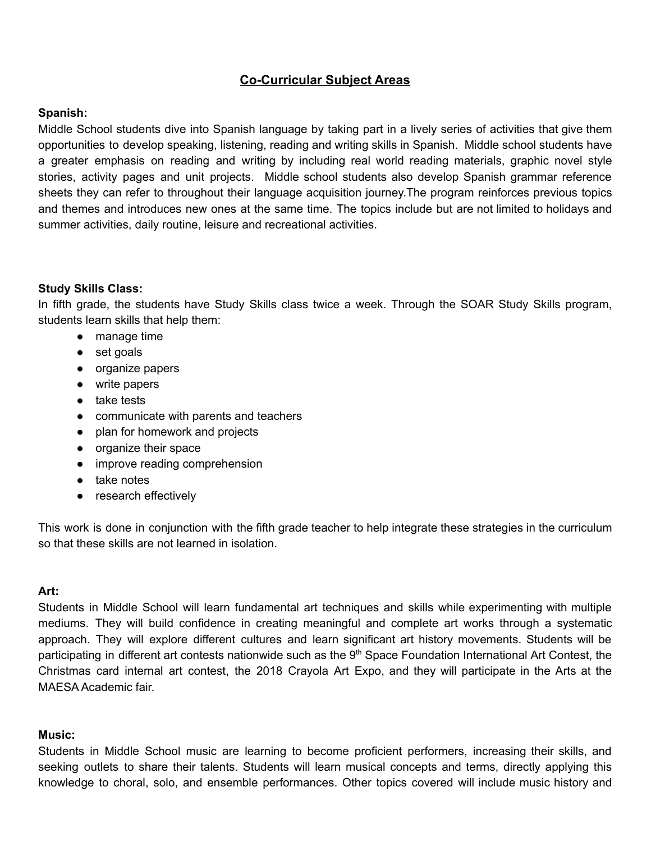# **Co-Curricular Subject Areas**

#### **Spanish:**

Middle School students dive into Spanish language by taking part in a lively series of activities that give them opportunities to develop speaking, listening, reading and writing skills in Spanish. Middle school students have a greater emphasis on reading and writing by including real world reading materials, graphic novel style stories, activity pages and unit projects. Middle school students also develop Spanish grammar reference sheets they can refer to throughout their language acquisition journey.The program reinforces previous topics and themes and introduces new ones at the same time. The topics include but are not limited to holidays and summer activities, daily routine, leisure and recreational activities.

## **Study Skills Class:**

In fifth grade, the students have Study Skills class twice a week. Through the SOAR Study Skills program, students learn skills that help them:

- manage time
- set goals
- organize papers
- write papers
- take tests
- communicate with parents and teachers
- plan for homework and projects
- organize their space
- improve reading comprehension
- take notes
- research effectively

This work is done in conjunction with the fifth grade teacher to help integrate these strategies in the curriculum so that these skills are not learned in isolation.

#### **Art:**

Students in Middle School will learn fundamental art techniques and skills while experimenting with multiple mediums. They will build confidence in creating meaningful and complete art works through a systematic approach. They will explore different cultures and learn significant art history movements. Students will be participating in different art contests nationwide such as the 9<sup>th</sup> Space Foundation International Art Contest, the Christmas card internal art contest, the 2018 Crayola Art Expo, and they will participate in the Arts at the MAESA Academic fair.

#### **Music:**

Students in Middle School music are learning to become proficient performers, increasing their skills, and seeking outlets to share their talents. Students will learn musical concepts and terms, directly applying this knowledge to choral, solo, and ensemble performances. Other topics covered will include music history and